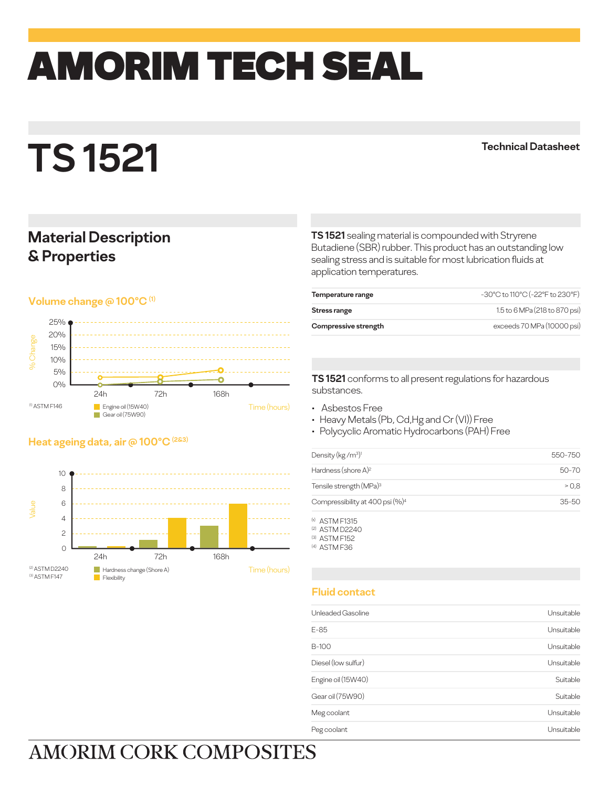# amorim TECH SEAL

# **TS 1521**

**Technical Datasheet**

### **Material Description & Properties**

### **Volume change @ 100°C (1)**



### **Heat ageing data, air @ 100°C (2&3)**



**TS 1521** sealing material is compounded with Stryrene Butadiene (SBR) rubber. This product has an outstanding low sealing stress and is suitable for most lubrication fluids at application temperatures.

| Temperature range    | -30°C to 110°C (-22°F to 230°F) |
|----------------------|---------------------------------|
| Stress range         | 1.5 to 6 MPa (218 to 870 psi)   |
| Compressive strength | exceeds 70 MPa (10000 psi)      |

**TS 1521** conforms to all present regulations for hazardous substances.

- Asbestos Free
- Heavy Metals (Pb, Cd,Hg and Cr (VI)) Free
- Polycyclic Aromatic Hydrocarbons (PAH) Free

| Density (kg/m <sup>3)1</sup>                | 550-750   |
|---------------------------------------------|-----------|
| Hardness (shore A) <sup>2</sup>             | 50-70     |
| Tensile strength (MPa) <sup>3</sup>         | > 0.8     |
| Compressibility at 400 psi (%) <sup>4</sup> | $35 - 50$ |
|                                             |           |

(1) ASTM F1315 (2) ASTM D2240 (3) ASTM F152

(4) ASTM F36

### **Fluid contact**

| Unleaded Gasoline   | Unsuitable |
|---------------------|------------|
| E-85                | Unsuitable |
| B-100               | Unsuitable |
| Diesel (Iow sulfur) | Unsuitable |
| Engine oil (15W40)  | Suitable   |
| Gear oil (75W90)    | Suitable   |
| Meg coolant         | Unsuitable |
| Peg coolant         | Unsuitable |
|                     |            |

## **AMORIM CORK COMPOSITES**